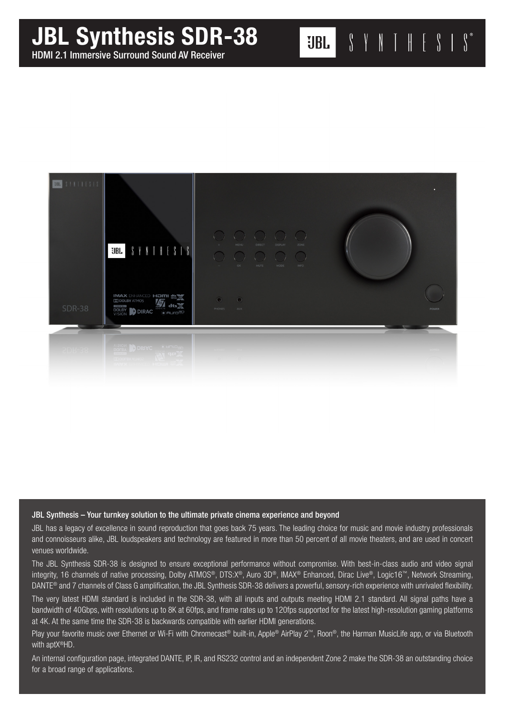# JBL Synthesis SDR-38



 $\begin{array}{ccccc} \textbf{0} & \textbf{1} & \textbf{1} & \textbf{1} & \textbf{1} & \textbf{1} & \textbf{1} & \textbf{1} & \textbf{1} & \textbf{1} & \textbf{1} & \textbf{1} & \textbf{1} & \textbf{1} & \textbf{1} & \textbf{1} & \textbf{1} & \textbf{1} & \textbf{1} & \textbf{1} & \textbf{1} & \textbf{1} & \textbf{1} & \textbf{1} & \textbf{1} & \textbf{1} & \textbf{1} & \textbf{1} & \textbf{1} & \textbf{1} & \text$ 

UBL 3

#### JBL Synthesis – Your turnkey solution to the ultimate private cinema experience and beyond

JBL has a legacy of excellence in sound reproduction that goes back 75 years. The leading choice for music and movie industry professionals and connoisseurs alike, JBL loudspeakers and technology are featured in more than 50 percent of all movie theaters, and are used in concert venues worldwide.

The JBL Synthesis SDR-38 is designed to ensure exceptional performance without compromise. With best-in-class audio and video signal integrity, 16 channels of native processing, Dolby ATMOS®, DTS:X®, Auro 3D®, IMAX® Enhanced, Dirac Live®, Logic16™, Network Streaming, DANTE® and 7 channels of Class G amplification, the JBL Synthesis SDR-38 delivers a powerful, sensory-rich experience with unrivaled flexibility.

The very latest HDMI standard is included in the SDR-38, with all inputs and outputs meeting HDMI 2.1 standard. All signal paths have a bandwidth of 40Gbps, with resolutions up to 8K at 60fps, and frame rates up to 120fps supported for the latest high-resolution gaming platforms at 4K. At the same time the SDR-38 is backwards compatible with earlier HDMI generations.

Play your favorite music over Ethernet or Wi-Fi with Chromecast® built-in, Apple® AirPlay 2™, Roon®, the Harman MusicLife app, or via Bluetooth with aptX®HD.

An internal configuration page, integrated DANTE, IP, IR, and RS232 control and an independent Zone 2 make the SDR-38 an outstanding choice for a broad range of applications.